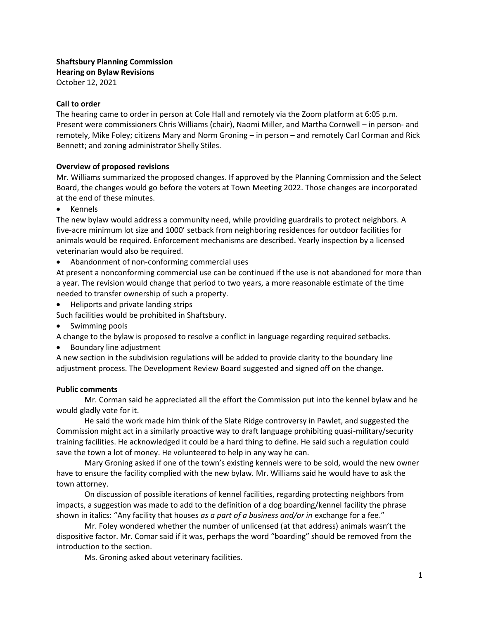**Shaftsbury Planning Commission Hearing on Bylaw Revisions** October 12, 2021

## **Call to order**

The hearing came to order in person at Cole Hall and remotely via the Zoom platform at 6:05 p.m. Present were commissioners Chris Williams (chair), Naomi Miller, and Martha Cornwell – in person- and remotely, Mike Foley; citizens Mary and Norm Groning – in person – and remotely Carl Corman and Rick Bennett; and zoning administrator Shelly Stiles.

## **Overview of proposed revisions**

Mr. Williams summarized the proposed changes. If approved by the Planning Commission and the Select Board, the changes would go before the voters at Town Meeting 2022. Those changes are incorporated at the end of these minutes.

• Kennels

The new bylaw would address a community need, while providing guardrails to protect neighbors. A five-acre minimum lot size and 1000' setback from neighboring residences for outdoor facilities for animals would be required. Enforcement mechanisms are described. Yearly inspection by a licensed veterinarian would also be required.

• Abandonment of non-conforming commercial uses

At present a nonconforming commercial use can be continued if the use is not abandoned for more than a year. The revision would change that period to two years, a more reasonable estimate of the time needed to transfer ownership of such a property.

• Heliports and private landing strips

Such facilities would be prohibited in Shaftsbury.

• Swimming pools

A change to the bylaw is proposed to resolve a conflict in language regarding required setbacks.

• Boundary line adjustment

A new section in the subdivision regulations will be added to provide clarity to the boundary line adjustment process. The Development Review Board suggested and signed off on the change.

## **Public comments**

Mr. Corman said he appreciated all the effort the Commission put into the kennel bylaw and he would gladly vote for it.

He said the work made him think of the Slate Ridge controversy in Pawlet, and suggested the Commission might act in a similarly proactive way to draft language prohibiting quasi-military/security training facilities. He acknowledged it could be a hard thing to define. He said such a regulation could save the town a lot of money. He volunteered to help in any way he can.

Mary Groning asked if one of the town's existing kennels were to be sold, would the new owner have to ensure the facility complied with the new bylaw. Mr. Williams said he would have to ask the town attorney.

On discussion of possible iterations of kennel facilities, regarding protecting neighbors from impacts, a suggestion was made to add to the definition of a dog boarding/kennel facility the phrase shown in italics: "Any facility that houses *as a part of a business and/or in* exchange for a fee."

Mr. Foley wondered whether the number of unlicensed (at that address) animals wasn't the dispositive factor. Mr. Comar said if it was, perhaps the word "boarding" should be removed from the introduction to the section.

Ms. Groning asked about veterinary facilities.